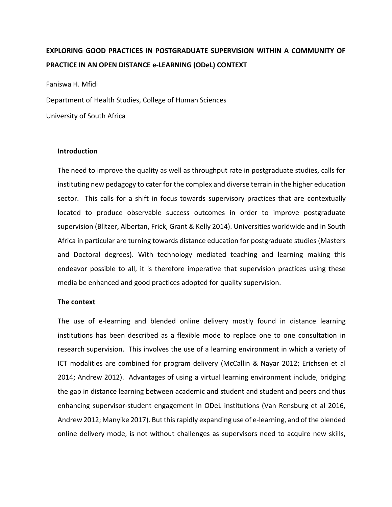# **EXPLORING GOOD PRACTICES IN POSTGRADUATE SUPERVISION WITHIN A COMMUNITY OF PRACTICE IN AN OPEN DISTANCE e-LEARNING (ODeL) CONTEXT**

Faniswa H. Mfidi

Department of Health Studies, College of Human Sciences

University of South Africa

#### **Introduction**

The need to improve the quality as well as throughput rate in postgraduate studies, calls for instituting new pedagogy to cater for the complex and diverse terrain in the higher education sector. This calls for a shift in focus towards supervisory practices that are contextually located to produce observable success outcomes in order to improve postgraduate supervision (Blitzer, Albertan, Frick, Grant & Kelly 2014). Universities worldwide and in South Africa in particular are turning towards distance education for postgraduate studies (Masters and Doctoral degrees). With technology mediated teaching and learning making this endeavor possible to all, it is therefore imperative that supervision practices using these media be enhanced and good practices adopted for quality supervision.

# **The context**

The use of e-learning and blended online delivery mostly found in distance learning institutions has been described as a flexible mode to replace one to one consultation in research supervision. This involves the use of a learning environment in which a variety of ICT modalities are combined for program delivery (McCallin & Nayar 2012; Erichsen et al 2014; Andrew 2012). Advantages of using a virtual learning environment include, bridging the gap in distance learning between academic and student and student and peers and thus enhancing supervisor-student engagement in ODeL institutions (Van Rensburg et al 2016, Andrew 2012; Manyike 2017). But this rapidly expanding use of e-learning, and of the blended online delivery mode, is not without challenges as supervisors need to acquire new skills,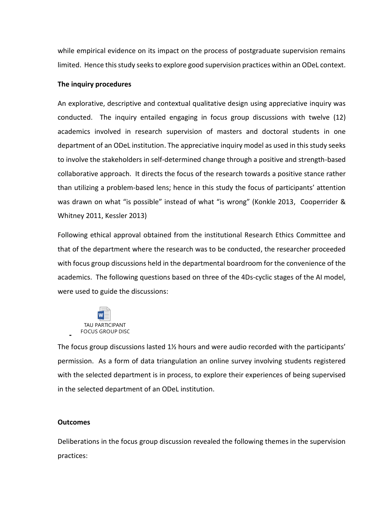while empirical evidence on its impact on the process of postgraduate supervision remains limited. Hence this study seeks to explore good supervision practices within an ODeL context.

# **The inquiry procedures**

An explorative, descriptive and contextual qualitative design using appreciative inquiry was conducted. The inquiry entailed engaging in focus group discussions with twelve (12) academics involved in research supervision of masters and doctoral students in one department of an ODeL institution. The appreciative inquiry model as used in this study seeks to involve the stakeholders in self-determined change through a positive and strength-based collaborative approach. It directs the focus of the research towards a positive stance rather than utilizing a problem-based lens; hence in this study the focus of participants' attention was drawn on what "is possible" instead of what "is wrong" (Konkle 2013, Cooperrider & Whitney 2011, Kessler 2013)

Following ethical approval obtained from the institutional Research Ethics Committee and that of the department where the research was to be conducted, the researcher proceeded with focus group discussions held in the departmental boardroom for the convenience of the academics. The following questions based on three of the 4Ds-cyclic stages of the AI model, were used to guide the discussions:



The focus group discussions lasted  $1\frac{1}{2}$  hours and were audio recorded with the participants' permission. As a form of data triangulation an online survey involving students registered with the selected department is in process, to explore their experiences of being supervised in the selected department of an ODeL institution.

# **Outcomes**

**-**

Deliberations in the focus group discussion revealed the following themes in the supervision practices: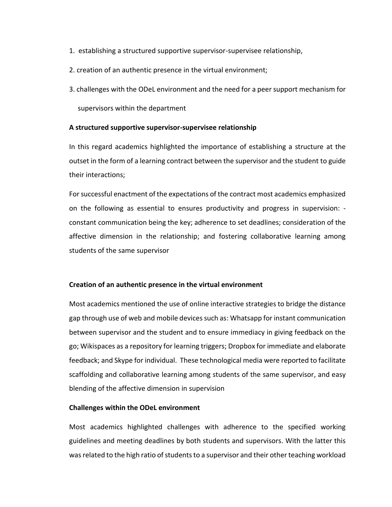- 1. establishing a structured supportive supervisor-supervisee relationship,
- 2. creation of an authentic presence in the virtual environment;
- 3. challenges with the ODeL environment and the need for a peer support mechanism for

supervisors within the department

# **A structured supportive supervisor-supervisee relationship**

In this regard academics highlighted the importance of establishing a structure at the outset in the form of a learning contract between the supervisor and the student to guide their interactions;

For successful enactment of the expectations of the contract most academics emphasized on the following as essential to ensures productivity and progress in supervision: constant communication being the key; adherence to set deadlines; consideration of the affective dimension in the relationship; and fostering collaborative learning among students of the same supervisor

# **Creation of an authentic presence in the virtual environment**

Most academics mentioned the use of online interactive strategies to bridge the distance gap through use of web and mobile devices such as: Whatsapp for instant communication between supervisor and the student and to ensure immediacy in giving feedback on the go; Wikispaces as a repository for learning triggers; Dropbox for immediate and elaborate feedback; and Skype for individual. These technological media were reported to facilitate scaffolding and collaborative learning among students of the same supervisor, and easy blending of the affective dimension in supervision

# **Challenges within the ODeL environment**

Most academics highlighted challenges with adherence to the specified working guidelines and meeting deadlines by both students and supervisors. With the latter this was related to the high ratio of students to a supervisor and their other teaching workload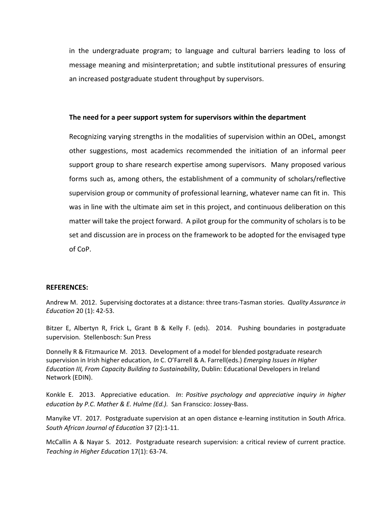in the undergraduate program; to language and cultural barriers leading to loss of message meaning and misinterpretation; and subtle institutional pressures of ensuring an increased postgraduate student throughput by supervisors.

# **The need for a peer support system for supervisors within the department**

Recognizing varying strengths in the modalities of supervision within an ODeL, amongst other suggestions, most academics recommended the initiation of an informal peer support group to share research expertise among supervisors. Many proposed various forms such as, among others, the establishment of a community of scholars/reflective supervision group or community of professional learning, whatever name can fit in. This was in line with the ultimate aim set in this project, and continuous deliberation on this matter will take the project forward. A pilot group for the community of scholars is to be set and discussion are in process on the framework to be adopted for the envisaged type of CoP.

#### **REFERENCES:**

Andrew M. 2012. Supervising doctorates at a distance: three trans‐Tasman stories. *Quality Assurance in Education* 20 (1): 42-53.

Bitzer E, Albertyn R, Frick L, Grant B & Kelly F. (eds). 2014. Pushing boundaries in postgraduate supervision. Stellenbosch: Sun Press

Donnelly R & Fitzmaurice M. 2013. Development of a model for blended postgraduate research supervision in Irish higher education, *In* C. O'Farrell & A. Farrell(eds.) *Emerging Issues in Higher Education III, From Capacity Building to Sustainability*, Dublin: Educational Developers in Ireland Network (EDIN).

Konkle E. 2013. Appreciative education*. In*: *Positive psychology and appreciative inquiry in higher education by P.C. Mather & E. Hulme (Ed.).* San Franscico: Jossey-Bass.

Manyike VT. 2017. Postgraduate supervision at an open distance e-learning institution in South Africa. *South African Journal of Education* 37 (2):1-11.

McCallin A & Nayar S. 2012. Postgraduate research supervision: a critical review of current practice. *Teaching in Higher Education* 17(1): 63-74.